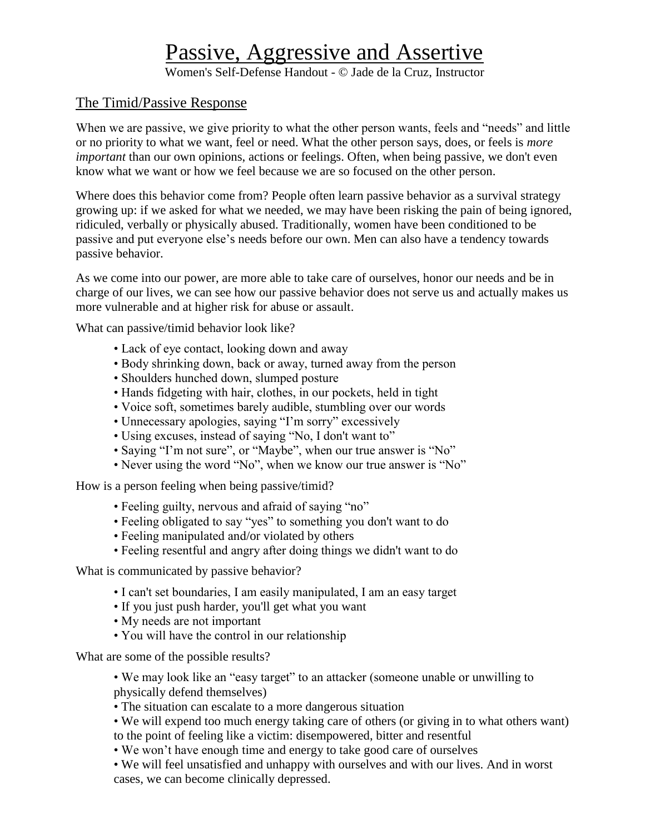## Passive, Aggressive and Assertive

Women's Self-Defense Handout - © Jade de la Cruz, Instructor

## The Timid/Passive Response

When we are passive, we give priority to what the other person wants, feels and "needs" and little or no priority to what we want, feel or need. What the other person says, does, or feels is *more important* than our own opinions, actions or feelings. Often, when being passive, we don't even know what we want or how we feel because we are so focused on the other person.

Where does this behavior come from? People often learn passive behavior as a survival strategy growing up: if we asked for what we needed, we may have been risking the pain of being ignored, ridiculed, verbally or physically abused. Traditionally, women have been conditioned to be passive and put everyone else's needs before our own. Men can also have a tendency towards passive behavior.

As we come into our power, are more able to take care of ourselves, honor our needs and be in charge of our lives, we can see how our passive behavior does not serve us and actually makes us more vulnerable and at higher risk for abuse or assault.

What can passive/timid behavior look like?

- Lack of eye contact, looking down and away
- Body shrinking down, back or away, turned away from the person
- Shoulders hunched down, slumped posture
- Hands fidgeting with hair, clothes, in our pockets, held in tight
- Voice soft, sometimes barely audible, stumbling over our words
- Unnecessary apologies, saying "I'm sorry" excessively
- Using excuses, instead of saying "No, I don't want to"
- Saying "I'm not sure", or "Maybe", when our true answer is "No"
- Never using the word "No", when we know our true answer is "No"

How is a person feeling when being passive/timid?

- Feeling guilty, nervous and afraid of saying "no"
- Feeling obligated to say "yes" to something you don't want to do
- Feeling manipulated and/or violated by others
- Feeling resentful and angry after doing things we didn't want to do

What is communicated by passive behavior?

- I can't set boundaries, I am easily manipulated, I am an easy target
- If you just push harder, you'll get what you want
- My needs are not important
- You will have the control in our relationship

What are some of the possible results?

• We may look like an "easy target" to an attacker (someone unable or unwilling to physically defend themselves)

• The situation can escalate to a more dangerous situation

• We will expend too much energy taking care of others (or giving in to what others want) to the point of feeling like a victim: disempowered, bitter and resentful

• We won't have enough time and energy to take good care of ourselves

• We will feel unsatisfied and unhappy with ourselves and with our lives. And in worst cases, we can become clinically depressed.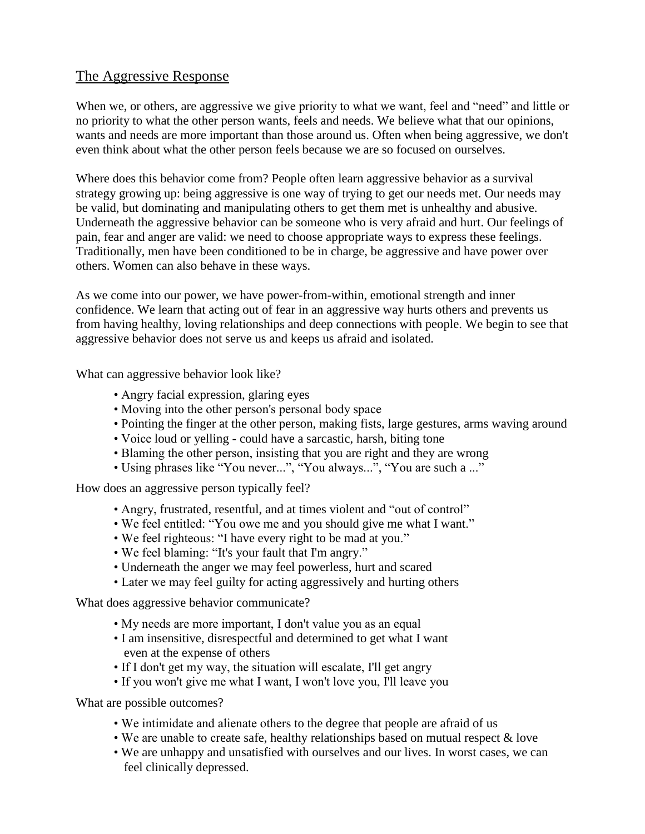## The Aggressive Response

When we, or others, are aggressive we give priority to what we want, feel and "need" and little or no priority to what the other person wants, feels and needs. We believe what that our opinions, wants and needs are more important than those around us. Often when being aggressive, we don't even think about what the other person feels because we are so focused on ourselves.

Where does this behavior come from? People often learn aggressive behavior as a survival strategy growing up: being aggressive is one way of trying to get our needs met. Our needs may be valid, but dominating and manipulating others to get them met is unhealthy and abusive. Underneath the aggressive behavior can be someone who is very afraid and hurt. Our feelings of pain, fear and anger are valid: we need to choose appropriate ways to express these feelings. Traditionally, men have been conditioned to be in charge, be aggressive and have power over others. Women can also behave in these ways.

As we come into our power, we have power-from-within, emotional strength and inner confidence. We learn that acting out of fear in an aggressive way hurts others and prevents us from having healthy, loving relationships and deep connections with people. We begin to see that aggressive behavior does not serve us and keeps us afraid and isolated.

What can aggressive behavior look like?

- Angry facial expression, glaring eyes
- Moving into the other person's personal body space
- Pointing the finger at the other person, making fists, large gestures, arms waving around
- Voice loud or yelling could have a sarcastic, harsh, biting tone
- Blaming the other person, insisting that you are right and they are wrong
- Using phrases like "You never...", "You always...", "You are such a ..."

How does an aggressive person typically feel?

- Angry, frustrated, resentful, and at times violent and "out of control"
- We feel entitled: "You owe me and you should give me what I want."
- We feel righteous: "I have every right to be mad at you."
- We feel blaming: "It's your fault that I'm angry."
- Underneath the anger we may feel powerless, hurt and scared
- Later we may feel guilty for acting aggressively and hurting others

What does aggressive behavior communicate?

- My needs are more important, I don't value you as an equal
- I am insensitive, disrespectful and determined to get what I want even at the expense of others
- If I don't get my way, the situation will escalate, I'll get angry
- If you won't give me what I want, I won't love you, I'll leave you

What are possible outcomes?

- We intimidate and alienate others to the degree that people are afraid of us
- We are unable to create safe, healthy relationships based on mutual respect & love
- We are unhappy and unsatisfied with ourselves and our lives. In worst cases, we can feel clinically depressed.